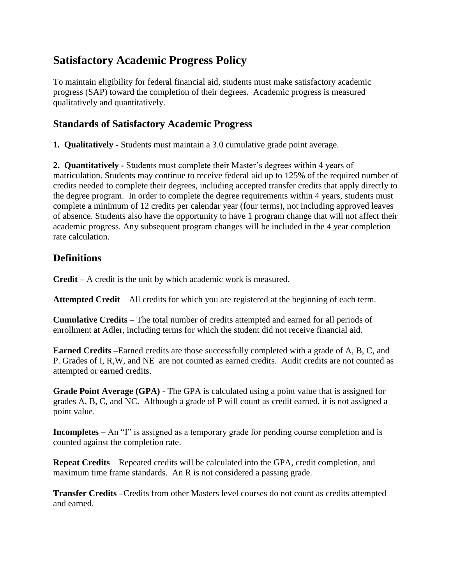# **Satisfactory Academic Progress Policy**

To maintain eligibility for federal financial aid, students must make satisfactory academic progress (SAP) toward the completion of their degrees. Academic progress is measured qualitatively and quantitatively.

# **Standards of Satisfactory Academic Progress**

**1. Qualitatively -** Students must maintain a 3.0 cumulative grade point average.

**2. Quantitatively -** Students must complete their Master's degrees within 4 years of matriculation. Students may continue to receive federal aid up to 125% of the required number of credits needed to complete their degrees, including accepted transfer credits that apply directly to the degree program. In order to complete the degree requirements within 4 years, students must complete a minimum of 12 credits per calendar year (four terms), not including approved leaves of absence. Students also have the opportunity to have 1 program change that will not affect their academic progress. Any subsequent program changes will be included in the 4 year completion rate calculation.

# **Definitions**

**Credit –** A credit is the unit by which academic work is measured.

**Attempted Credit** – All credits for which you are registered at the beginning of each term.

**Cumulative Credits** – The total number of credits attempted and earned for all periods of enrollment at Adler, including terms for which the student did not receive financial aid.

**Earned Credits –**Earned credits are those successfully completed with a grade of A, B, C, and P. Grades of I, R,W, and NE are not counted as earned credits. Audit credits are not counted as attempted or earned credits.

**Grade Point Average (GPA) -** The GPA is calculated using a point value that is assigned for grades A, B, C, and NC. Although a grade of P will count as credit earned, it is not assigned a point value.

**Incompletes** – An "I" is assigned as a temporary grade for pending course completion and is counted against the completion rate.

**Repeat Credits** – Repeated credits will be calculated into the GPA, credit completion, and maximum time frame standards. An R is not considered a passing grade.

**Transfer Credits –**Credits from other Masters level courses do not count as credits attempted and earned.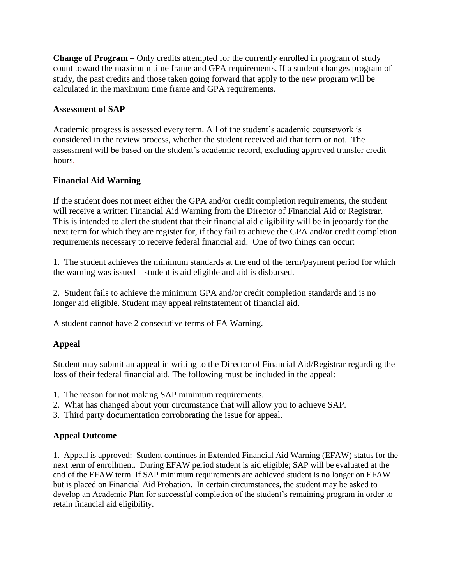**Change of Program –** Only credits attempted for the currently enrolled in program of study count toward the maximum time frame and GPA requirements. If a student changes program of study, the past credits and those taken going forward that apply to the new program will be calculated in the maximum time frame and GPA requirements.

#### **Assessment of SAP**

Academic progress is assessed every term. All of the student's academic coursework is considered in the review process, whether the student received aid that term or not. The assessment will be based on the student's academic record, excluding approved transfer credit hours.

## **Financial Aid Warning**

If the student does not meet either the GPA and/or credit completion requirements, the student will receive a written Financial Aid Warning from the Director of Financial Aid or Registrar. This is intended to alert the student that their financial aid eligibility will be in jeopardy for the next term for which they are register for, if they fail to achieve the GPA and/or credit completion requirements necessary to receive federal financial aid. One of two things can occur:

1. The student achieves the minimum standards at the end of the term/payment period for which the warning was issued – student is aid eligible and aid is disbursed.

2. Student fails to achieve the minimum GPA and/or credit completion standards and is no longer aid eligible. Student may appeal reinstatement of financial aid.

A student cannot have 2 consecutive terms of FA Warning.

## **Appeal**

Student may submit an appeal in writing to the Director of Financial Aid/Registrar regarding the loss of their federal financial aid. The following must be included in the appeal:

- 1. The reason for not making SAP minimum requirements.
- 2. What has changed about your circumstance that will allow you to achieve SAP.
- 3. Third party documentation corroborating the issue for appeal.

## **Appeal Outcome**

1. Appeal is approved: Student continues in Extended Financial Aid Warning (EFAW) status for the next term of enrollment. During EFAW period student is aid eligible; SAP will be evaluated at the end of the EFAW term. If SAP minimum requirements are achieved student is no longer on EFAW but is placed on Financial Aid Probation. In certain circumstances, the student may be asked to develop an Academic Plan for successful completion of the student's remaining program in order to retain financial aid eligibility.